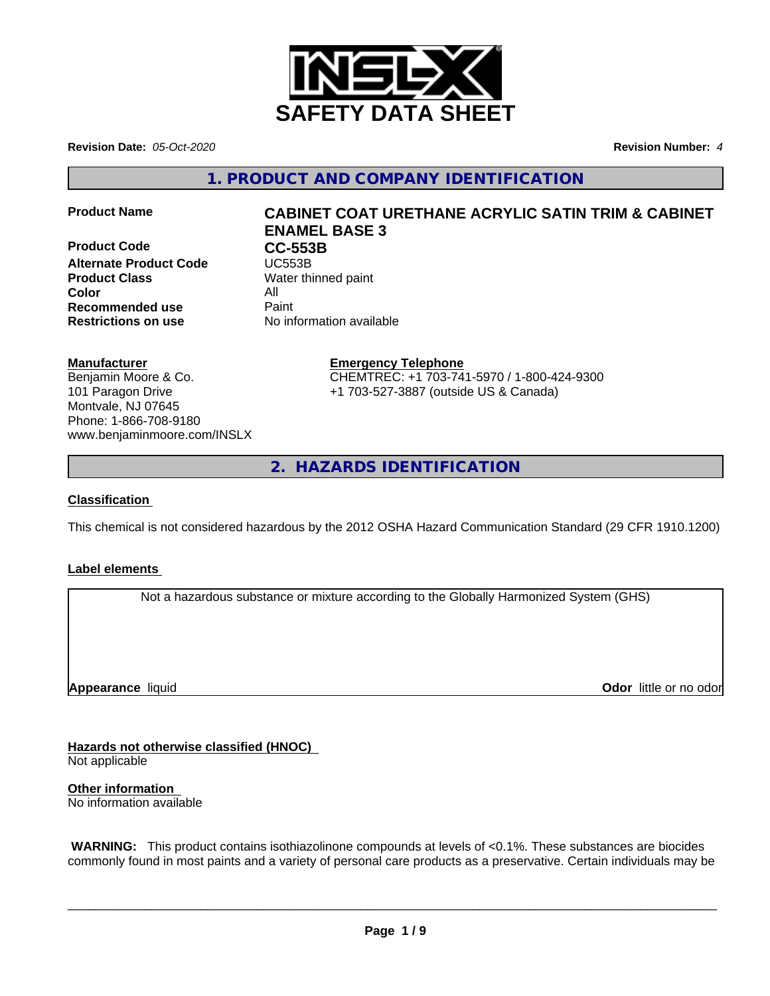

**Revision Date:** *05-Oct-2020* **Revision Number:** *4*

**1. PRODUCT AND COMPANY IDENTIFICATION**

**Product Code CC-553B**<br> **Alternate Product Code CC-553B Alternate Product Code Product Class** Water thinned paint **Color** All **Recommended use** Paint **Restrictions on use** No information available

# **Product Name CABINET COAT URETHANE ACRYLIC SATIN TRIM & CABINET ENAMEL BASE 3**

## **Manufacturer**

Benjamin Moore & Co. 101 Paragon Drive Montvale, NJ 07645 Phone: 1-866-708-9180 www.benjaminmoore.com/INSLX

## **Emergency Telephone**

CHEMTREC: +1 703-741-5970 / 1-800-424-9300 +1 703-527-3887 (outside US & Canada)

**2. HAZARDS IDENTIFICATION**

## **Classification**

This chemical is not considered hazardous by the 2012 OSHA Hazard Communication Standard (29 CFR 1910.1200)

## **Label elements**

Not a hazardous substance or mixture according to the Globally Harmonized System (GHS)

**Appearance** liquid

**Odor** little or no odor

**Hazards not otherwise classified (HNOC)**

Not applicable

**Other information** No information available

 **WARNING:** This product contains isothiazolinone compounds at levels of <0.1%. These substances are biocides commonly found in most paints and a variety of personal care products as a preservative. Certain individuals may be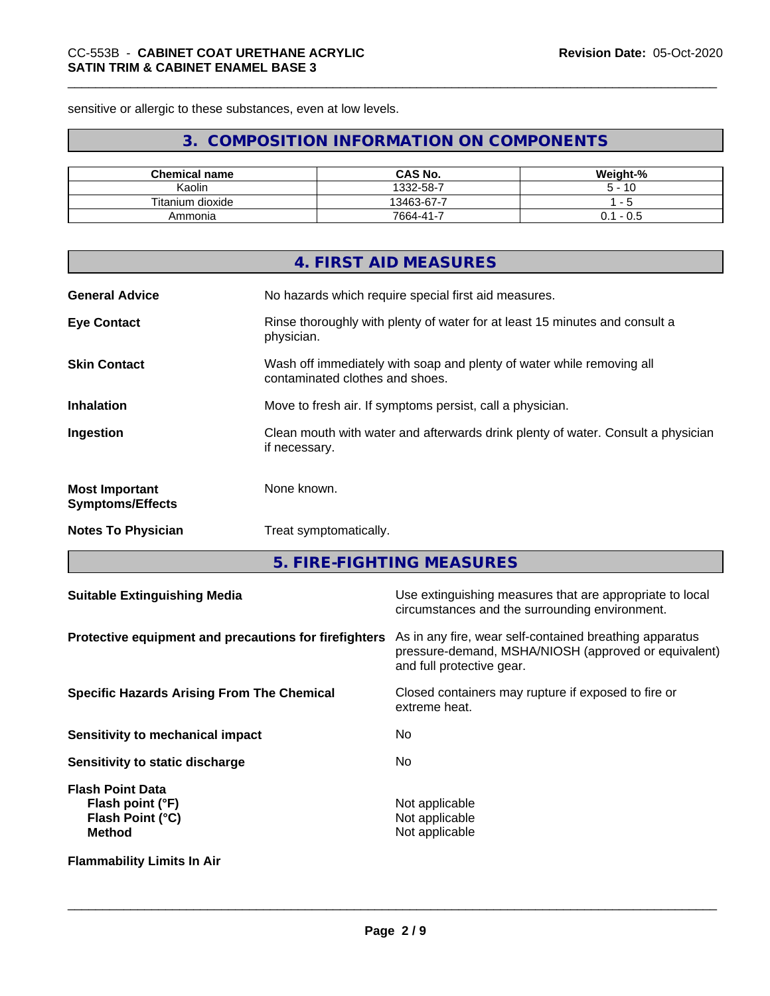sensitive or allergic to these substances, even at low levels.

# **3. COMPOSITION INFORMATION ON COMPONENTS**

| <b>Chemical name</b> | <b>CAS No.</b> | Weight-%     |
|----------------------|----------------|--------------|
| <br>Kaolin           | 1332-58-7      | 10           |
| Titanium dioxide     | 13463-67-7     |              |
| Ammonia              | $7664 - 41 -$  | - U.S<br>υ.ι |

|                                                  | 4. FIRST AID MEASURES                                                                                    |
|--------------------------------------------------|----------------------------------------------------------------------------------------------------------|
| <b>General Advice</b>                            | No hazards which require special first aid measures.                                                     |
| <b>Eye Contact</b>                               | Rinse thoroughly with plenty of water for at least 15 minutes and consult a<br>physician.                |
| <b>Skin Contact</b>                              | Wash off immediately with soap and plenty of water while removing all<br>contaminated clothes and shoes. |
| <b>Inhalation</b>                                | Move to fresh air. If symptoms persist, call a physician.                                                |
| Ingestion                                        | Clean mouth with water and afterwards drink plenty of water. Consult a physician<br>if necessary.        |
| <b>Most Important</b><br><b>Symptoms/Effects</b> | None known.                                                                                              |
| <b>Notes To Physician</b>                        | Treat symptomatically.                                                                                   |
|                                                  |                                                                                                          |

**5. FIRE-FIGHTING MEASURES**

| <b>Suitable Extinguishing Media</b>                                              | Use extinguishing measures that are appropriate to local<br>circumstances and the surrounding environment.                                   |
|----------------------------------------------------------------------------------|----------------------------------------------------------------------------------------------------------------------------------------------|
| Protective equipment and precautions for firefighters                            | As in any fire, wear self-contained breathing apparatus<br>pressure-demand, MSHA/NIOSH (approved or equivalent)<br>and full protective gear. |
| <b>Specific Hazards Arising From The Chemical</b>                                | Closed containers may rupture if exposed to fire or<br>extreme heat.                                                                         |
| Sensitivity to mechanical impact                                                 | No.                                                                                                                                          |
| Sensitivity to static discharge                                                  | No.                                                                                                                                          |
| <b>Flash Point Data</b><br>Flash point (°F)<br>Flash Point (°C)<br><b>Method</b> | Not applicable<br>Not applicable<br>Not applicable                                                                                           |
| <b>Flammability Limits In Air</b>                                                |                                                                                                                                              |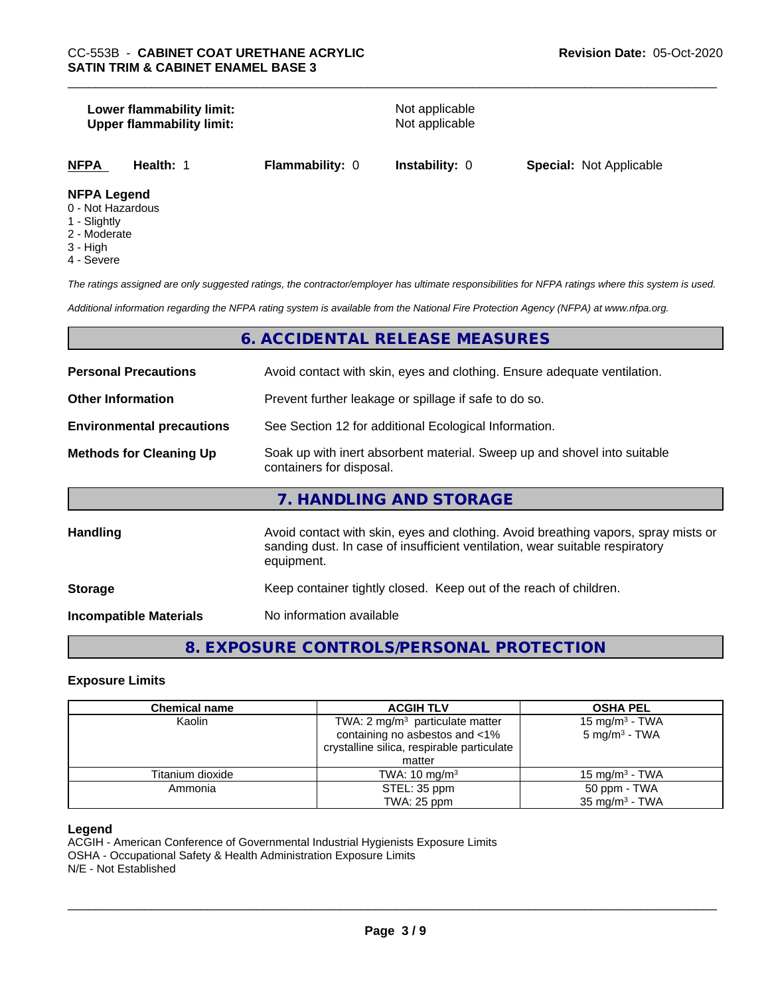#### **Lower flammability limit:**<br> **Upper flammability limit:**<br>
Upper flammability limit:<br>
Not applicable **Upper flammability limit:**

## **NFPA Legend**

- 0 Not Hazardous
- 1 Slightly
- 2 Moderate
- 3 High
- 4 Severe

*The ratings assigned are only suggested ratings, the contractor/employer has ultimate responsibilities for NFPA ratings where this system is used.*

*Additional information regarding the NFPA rating system is available from the National Fire Protection Agency (NFPA) at www.nfpa.org.*

## **6. ACCIDENTAL RELEASE MEASURES**

| <b>Personal Precautions</b>      | Avoid contact with skin, eyes and clothing. Ensure adequate ventilation.                                                                                                         |
|----------------------------------|----------------------------------------------------------------------------------------------------------------------------------------------------------------------------------|
| <b>Other Information</b>         | Prevent further leakage or spillage if safe to do so.                                                                                                                            |
| <b>Environmental precautions</b> | See Section 12 for additional Ecological Information.                                                                                                                            |
| <b>Methods for Cleaning Up</b>   | Soak up with inert absorbent material. Sweep up and shovel into suitable<br>containers for disposal.                                                                             |
|                                  | 7. HANDLING AND STORAGE                                                                                                                                                          |
| <b>Handling</b>                  | Avoid contact with skin, eyes and clothing. Avoid breathing vapors, spray mists or<br>sanding dust. In case of insufficient ventilation, wear suitable respiratory<br>equipment. |
| <b>Storage</b>                   | Keep container tightly closed. Keep out of the reach of children.                                                                                                                |
| <b>Incompatible Materials</b>    | No information available                                                                                                                                                         |

# **8. EXPOSURE CONTROLS/PERSONAL PROTECTION**

#### **Exposure Limits**

| <b>Chemical name</b> | <b>ACGIH TLV</b>                                                                                                            | <b>OSHA PEL</b>                                        |  |
|----------------------|-----------------------------------------------------------------------------------------------------------------------------|--------------------------------------------------------|--|
| Kaolin               | TWA: 2 mg/m <sup>3</sup> particulate matter<br>containing no asbestos and <1%<br>crystalline silica, respirable particulate | 15 mg/m <sup>3</sup> - TWA<br>$5 \text{ mg/m}^3$ - TWA |  |
|                      | matter                                                                                                                      |                                                        |  |
| Titanium dioxide     | TWA: $10 \text{ mg/m}^3$                                                                                                    | 15 mg/m $3$ - TWA                                      |  |
| Ammonia              | STEL: 35 ppm                                                                                                                | 50 ppm - TWA                                           |  |
|                      | TWA: 25 ppm                                                                                                                 | $35 \text{ mg/m}^3$ - TWA                              |  |

#### **Legend**

ACGIH - American Conference of Governmental Industrial Hygienists Exposure Limits OSHA - Occupational Safety & Health Administration Exposure Limits N/E - Not Established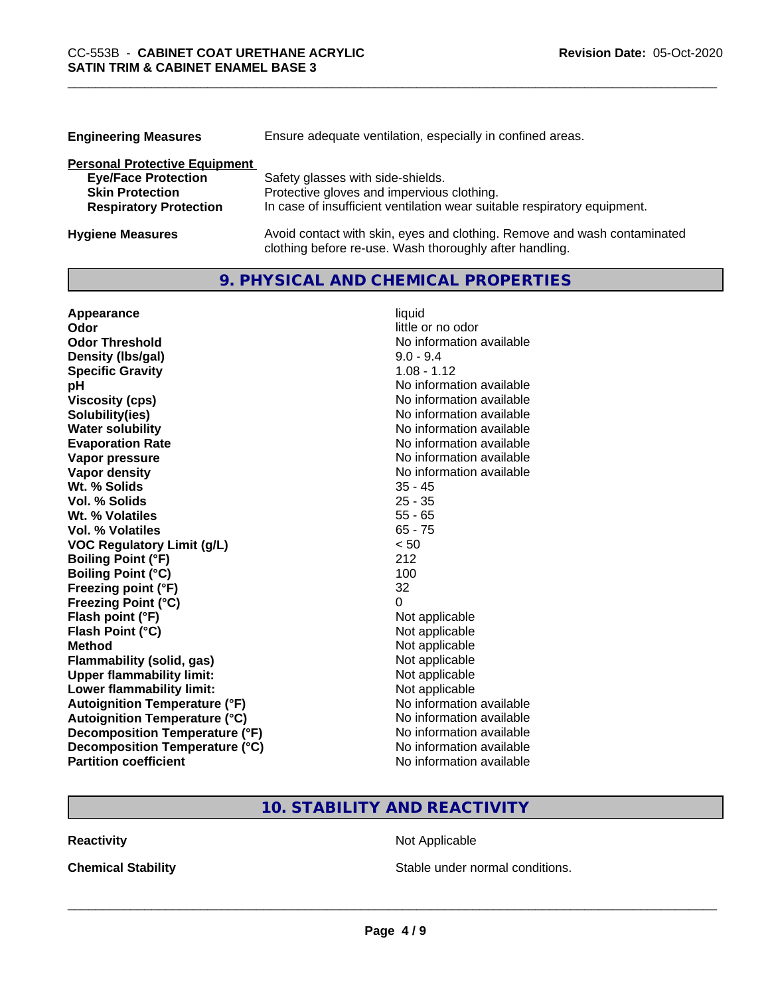| <b>Engineering Measures</b>          | Ensure adequate ventilation, especially in confined areas.               |
|--------------------------------------|--------------------------------------------------------------------------|
| <b>Personal Protective Equipment</b> |                                                                          |
| <b>Eye/Face Protection</b>           | Safety glasses with side-shields.                                        |
| <b>Skin Protection</b>               | Protective gloves and impervious clothing.                               |
| <b>Respiratory Protection</b>        | In case of insufficient ventilation wear suitable respiratory equipment. |
| <b>Hygiene Measures</b>              | Avoid contact with skin, eyes and clothing. Remove and wash contaminated |

clothing before re-use. Wash thoroughly after handling.

# **9. PHYSICAL AND CHEMICAL PROPERTIES**

| Appearance                           | liquid                   |
|--------------------------------------|--------------------------|
| Odor                                 | little or no odor        |
| <b>Odor Threshold</b>                | No information available |
| Density (Ibs/gal)                    | $9.0 - 9.4$              |
| <b>Specific Gravity</b>              | $1.08 - 1.12$            |
| рH                                   | No information available |
| <b>Viscosity (cps)</b>               | No information available |
| Solubility(ies)                      | No information available |
| <b>Water solubility</b>              | No information available |
| <b>Evaporation Rate</b>              | No information available |
| Vapor pressure                       | No information available |
| <b>Vapor density</b>                 | No information available |
| Wt. % Solids                         | $35 - 45$                |
| Vol. % Solids                        | $25 - 35$                |
| Wt. % Volatiles                      | $55 - 65$                |
| <b>Vol. % Volatiles</b>              | $65 - 75$                |
| <b>VOC Regulatory Limit (g/L)</b>    | < 50                     |
| <b>Boiling Point (°F)</b>            | 212                      |
| <b>Boiling Point (°C)</b>            | 100                      |
| Freezing point (°F)                  | 32                       |
| <b>Freezing Point (°C)</b>           | 0                        |
| Flash point (°F)                     | Not applicable           |
| Flash Point (°C)                     | Not applicable           |
| <b>Method</b>                        | Not applicable           |
| <b>Flammability (solid, gas)</b>     | Not applicable           |
| <b>Upper flammability limit:</b>     | Not applicable           |
| Lower flammability limit:            | Not applicable           |
| <b>Autoignition Temperature (°F)</b> | No information available |
| <b>Autoignition Temperature (°C)</b> | No information available |
| Decomposition Temperature (°F)       | No information available |
| Decomposition Temperature (°C)       | No information available |
| <b>Partition coefficient</b>         | No information available |

# **10. STABILITY AND REACTIVITY**

**Reactivity Not Applicable** Not Applicable

**Chemical Stability Chemical Stability** Stable under normal conditions.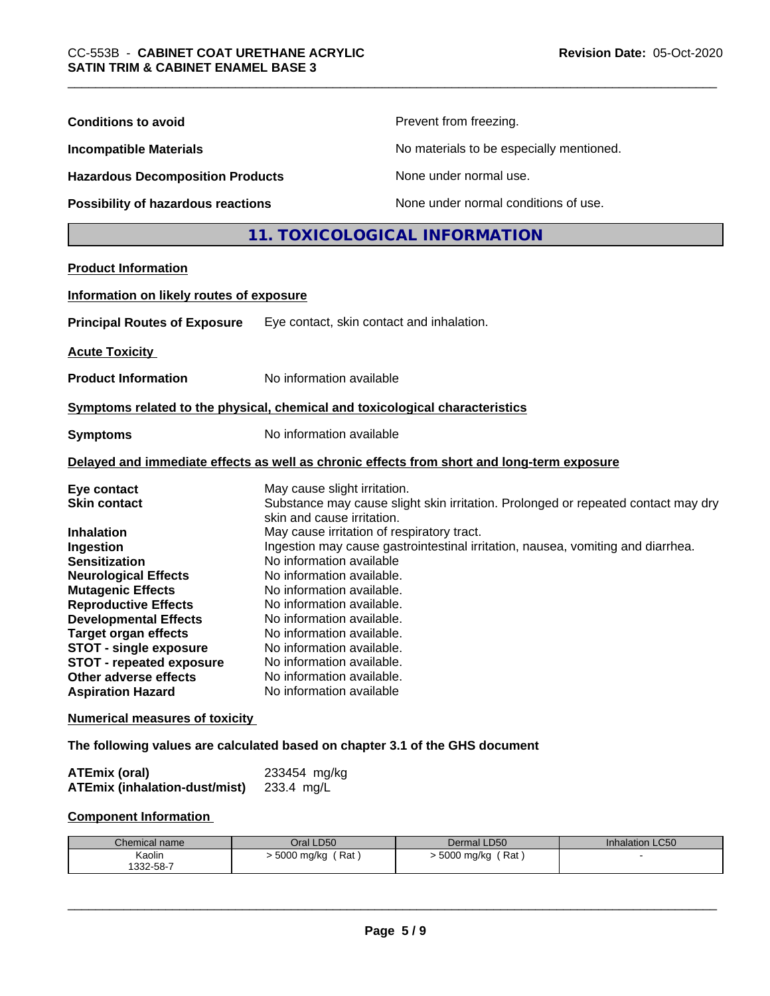| <b>Conditions to avoid</b>                                                                                                                                                                                                                                                                                                                                                     |                                                                                                                                                                                                                                                                                                                                                                                                          | Prevent from freezing.                                                                                                                                               |                 |  |
|--------------------------------------------------------------------------------------------------------------------------------------------------------------------------------------------------------------------------------------------------------------------------------------------------------------------------------------------------------------------------------|----------------------------------------------------------------------------------------------------------------------------------------------------------------------------------------------------------------------------------------------------------------------------------------------------------------------------------------------------------------------------------------------------------|----------------------------------------------------------------------------------------------------------------------------------------------------------------------|-----------------|--|
| <b>Incompatible Materials</b>                                                                                                                                                                                                                                                                                                                                                  |                                                                                                                                                                                                                                                                                                                                                                                                          | No materials to be especially mentioned.                                                                                                                             |                 |  |
| <b>Hazardous Decomposition Products</b><br>Possibility of hazardous reactions                                                                                                                                                                                                                                                                                                  |                                                                                                                                                                                                                                                                                                                                                                                                          | None under normal use.                                                                                                                                               |                 |  |
|                                                                                                                                                                                                                                                                                                                                                                                |                                                                                                                                                                                                                                                                                                                                                                                                          | None under normal conditions of use.                                                                                                                                 |                 |  |
|                                                                                                                                                                                                                                                                                                                                                                                |                                                                                                                                                                                                                                                                                                                                                                                                          | 11. TOXICOLOGICAL INFORMATION                                                                                                                                        |                 |  |
| <b>Product Information</b>                                                                                                                                                                                                                                                                                                                                                     |                                                                                                                                                                                                                                                                                                                                                                                                          |                                                                                                                                                                      |                 |  |
| Information on likely routes of exposure                                                                                                                                                                                                                                                                                                                                       |                                                                                                                                                                                                                                                                                                                                                                                                          |                                                                                                                                                                      |                 |  |
| <b>Principal Routes of Exposure</b>                                                                                                                                                                                                                                                                                                                                            | Eye contact, skin contact and inhalation.                                                                                                                                                                                                                                                                                                                                                                |                                                                                                                                                                      |                 |  |
| <b>Acute Toxicity</b>                                                                                                                                                                                                                                                                                                                                                          |                                                                                                                                                                                                                                                                                                                                                                                                          |                                                                                                                                                                      |                 |  |
| <b>Product Information</b>                                                                                                                                                                                                                                                                                                                                                     | No information available                                                                                                                                                                                                                                                                                                                                                                                 |                                                                                                                                                                      |                 |  |
| Symptoms related to the physical, chemical and toxicological characteristics                                                                                                                                                                                                                                                                                                   |                                                                                                                                                                                                                                                                                                                                                                                                          |                                                                                                                                                                      |                 |  |
| <b>Symptoms</b>                                                                                                                                                                                                                                                                                                                                                                | No information available                                                                                                                                                                                                                                                                                                                                                                                 |                                                                                                                                                                      |                 |  |
| Delayed and immediate effects as well as chronic effects from short and long-term exposure                                                                                                                                                                                                                                                                                     |                                                                                                                                                                                                                                                                                                                                                                                                          |                                                                                                                                                                      |                 |  |
| Eye contact<br><b>Skin contact</b><br><b>Inhalation</b><br>Ingestion<br><b>Sensitization</b><br><b>Neurological Effects</b><br><b>Mutagenic Effects</b><br><b>Reproductive Effects</b><br><b>Developmental Effects</b><br><b>Target organ effects</b><br><b>STOT - single exposure</b><br><b>STOT - repeated exposure</b><br>Other adverse effects<br><b>Aspiration Hazard</b> | May cause slight irritation.<br>skin and cause irritation.<br>May cause irritation of respiratory tract.<br>No information available<br>No information available.<br>No information available.<br>No information available.<br>No information available.<br>No information available.<br>No information available.<br>No information available.<br>No information available.<br>No information available | Substance may cause slight skin irritation. Prolonged or repeated contact may dry<br>Ingestion may cause gastrointestinal irritation, nausea, vomiting and diarrhea. |                 |  |
| <b>Numerical measures of toxicity</b>                                                                                                                                                                                                                                                                                                                                          |                                                                                                                                                                                                                                                                                                                                                                                                          |                                                                                                                                                                      |                 |  |
| The following values are calculated based on chapter 3.1 of the GHS document                                                                                                                                                                                                                                                                                                   |                                                                                                                                                                                                                                                                                                                                                                                                          |                                                                                                                                                                      |                 |  |
| <b>ATEmix (oral)</b><br><b>ATEmix (inhalation-dust/mist)</b>                                                                                                                                                                                                                                                                                                                   | 233454 mg/kg<br>233.4 mg/L                                                                                                                                                                                                                                                                                                                                                                               |                                                                                                                                                                      |                 |  |
| <b>Component Information</b>                                                                                                                                                                                                                                                                                                                                                   |                                                                                                                                                                                                                                                                                                                                                                                                          |                                                                                                                                                                      |                 |  |
| Chemical name                                                                                                                                                                                                                                                                                                                                                                  | Oral LD50                                                                                                                                                                                                                                                                                                                                                                                                | Dermal LD50                                                                                                                                                          | Inhalation LC50 |  |
| Kaolin<br>1332-58-7                                                                                                                                                                                                                                                                                                                                                            | > 5000 mg/kg (Rat)                                                                                                                                                                                                                                                                                                                                                                                       | > 5000 mg/kg (Rat)                                                                                                                                                   |                 |  |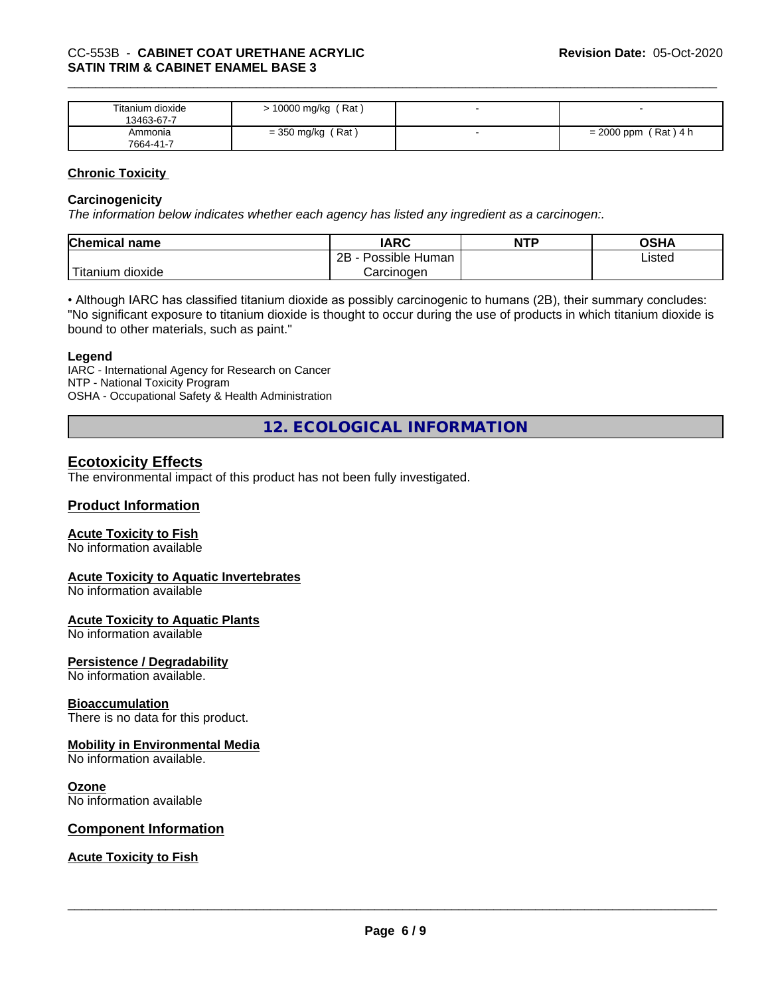| Titanium dioxide<br>13463-67-7 | (Rat<br>10000 mg/kg |              |
|--------------------------------|---------------------|--------------|
| Ammonia                        | ، Rat '             | (Rat)4 h     |
| 7664-41-7                      | = 350 mg/kg         | $= 2000$ ppm |

## **Chronic Toxicity**

#### **Carcinogenicity**

*The information below indicateswhether each agency has listed any ingredient as a carcinogen:.*

| <b>Chemical name</b>             | <b>IARC</b>          | <b>NTP</b> | OSHA   |
|----------------------------------|----------------------|------------|--------|
|                                  | Possible Human<br>2B |            | Listed |
| $\mathbf{r}$<br>Fitanium dioxide | Carcinogen           |            |        |

• Although IARC has classified titanium dioxide as possibly carcinogenic to humans (2B), their summary concludes: "No significant exposure to titanium dioxide is thought to occur during the use of products in which titanium dioxide is bound to other materials, such as paint."

#### **Legend**

IARC - International Agency for Research on Cancer NTP - National Toxicity Program OSHA - Occupational Safety & Health Administration

**12. ECOLOGICAL INFORMATION**

## **Ecotoxicity Effects**

The environmental impact of this product has not been fully investigated.

## **Product Information**

#### **Acute Toxicity to Fish**

No information available

#### **Acute Toxicity to Aquatic Invertebrates**

No information available

# **Acute Toxicity to Aquatic Plants**

No information available

#### **Persistence / Degradability**

No information available.

#### **Bioaccumulation**

There is no data for this product.

#### **Mobility in Environmental Media**

No information available.

#### **Ozone**

No information available

#### **Component Information**

## **Acute Toxicity to Fish**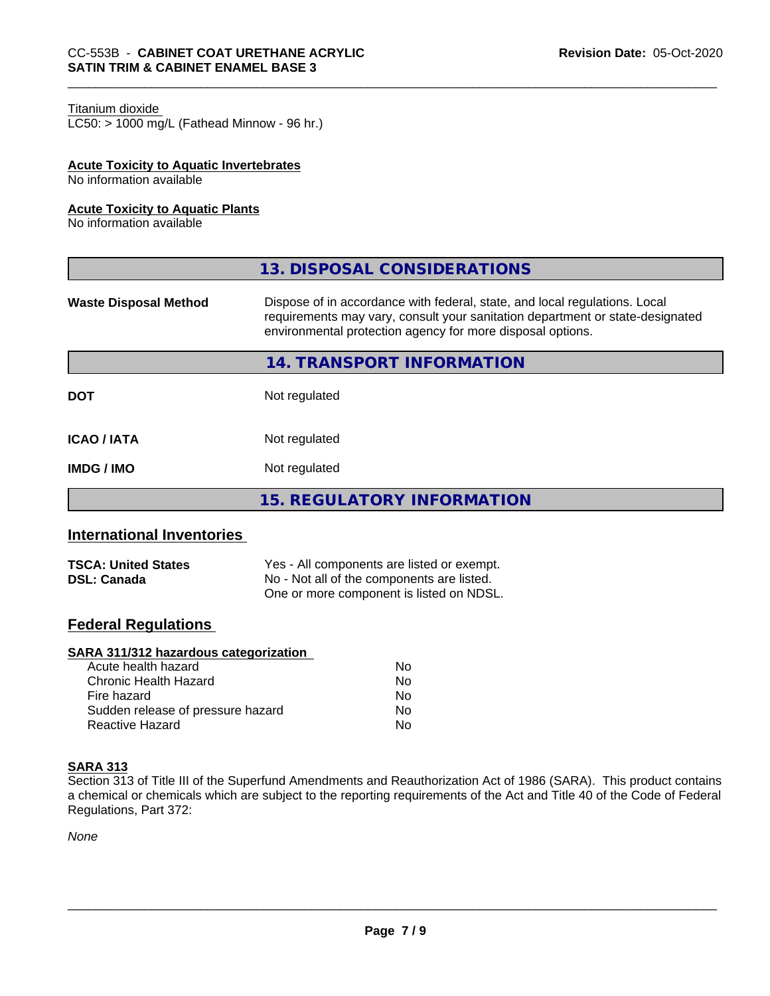#### Titanium dioxide

 $LC50:$  > 1000 mg/L (Fathead Minnow - 96 hr.)

#### **Acute Toxicity to Aquatic Invertebrates**

No information available

#### **Acute Toxicity to Aquatic Plants**

No information available

|                              | 13. DISPOSAL CONSIDERATIONS                                                                                                                                                                                               |
|------------------------------|---------------------------------------------------------------------------------------------------------------------------------------------------------------------------------------------------------------------------|
| <b>Waste Disposal Method</b> | Dispose of in accordance with federal, state, and local regulations. Local<br>requirements may vary, consult your sanitation department or state-designated<br>environmental protection agency for more disposal options. |
|                              | 14. TRANSPORT INFORMATION                                                                                                                                                                                                 |
| <b>DOT</b>                   | Not regulated                                                                                                                                                                                                             |
| <b>ICAO / IATA</b>           | Not regulated                                                                                                                                                                                                             |
| <b>IMDG/IMO</b>              | Not regulated                                                                                                                                                                                                             |
|                              | <b>15. REGULATORY INFORMATION</b>                                                                                                                                                                                         |

## **International Inventories**

| <b>TSCA: United States</b> | Yes - All components are listed or exempt. |
|----------------------------|--------------------------------------------|
| <b>DSL: Canada</b>         | No - Not all of the components are listed. |
|                            | One or more component is listed on NDSL.   |

## **Federal Regulations**

#### **SARA 311/312 hazardous categorization**

| Acute health hazard               | Nο |  |
|-----------------------------------|----|--|
| Chronic Health Hazard             | Nο |  |
| Fire hazard                       | Nο |  |
| Sudden release of pressure hazard | Nο |  |
| Reactive Hazard                   | Nο |  |

#### **SARA 313**

Section 313 of Title III of the Superfund Amendments and Reauthorization Act of 1986 (SARA). This product contains a chemical or chemicals which are subject to the reporting requirements of the Act and Title 40 of the Code of Federal Regulations, Part 372:

*None*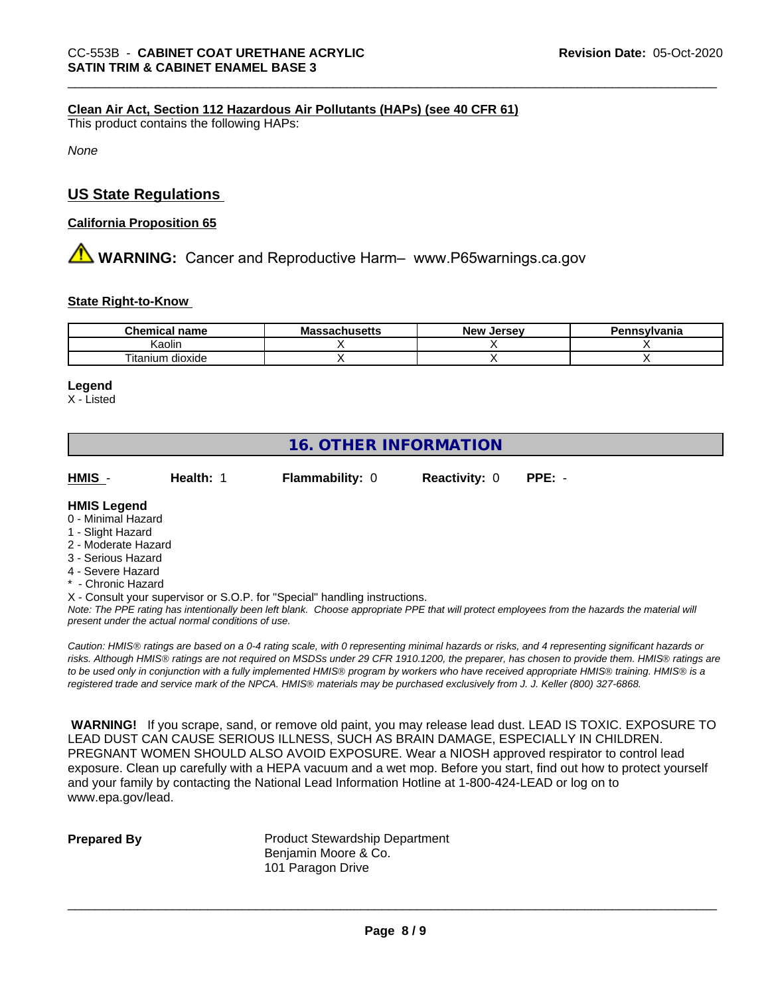#### **Clean Air Act,Section 112 Hazardous Air Pollutants (HAPs) (see 40 CFR 61)**

This product contains the following HAPs:

*None*

## **US State Regulations**

#### **California Proposition 65**

**AVIMARNING:** Cancer and Reproductive Harm– www.P65warnings.ca.gov

#### **State Right-to-Know**

| Chemical<br>name     | - -<br>ма<br>…ເປປປລະແວ | Jersev<br>Nev <sup>.</sup> | <b>Insvlvania</b> |
|----------------------|------------------------|----------------------------|-------------------|
| <br>Kaolir           |                        |                            |                   |
| dioxide<br>i itanıum |                        |                            |                   |

#### **Legend**

X - Listed

# **16. OTHER INFORMATION**

**HMIS** - **Health:** 1 **Flammability:** 0 **Reactivity:** 0 **PPE:** -

#### **HMIS Legend**

- 0 Minimal Hazard
- 1 Slight Hazard
- 2 Moderate Hazard
- 3 Serious Hazard
- 4 Severe Hazard
- **Chronic Hazard**
- X Consult your supervisor or S.O.P. for "Special" handling instructions.

*Note: The PPE rating has intentionally been left blank. Choose appropriate PPE that will protect employees from the hazards the material will present under the actual normal conditions of use.*

*Caution: HMISÒ ratings are based on a 0-4 rating scale, with 0 representing minimal hazards or risks, and 4 representing significant hazards or risks. Although HMISÒ ratings are not required on MSDSs under 29 CFR 1910.1200, the preparer, has chosen to provide them. HMISÒ ratings are to be used only in conjunction with a fully implemented HMISÒ program by workers who have received appropriate HMISÒ training. HMISÒ is a registered trade and service mark of the NPCA. HMISÒ materials may be purchased exclusively from J. J. Keller (800) 327-6868.*

 **WARNING!** If you scrape, sand, or remove old paint, you may release lead dust. LEAD IS TOXIC. EXPOSURE TO LEAD DUST CAN CAUSE SERIOUS ILLNESS, SUCH AS BRAIN DAMAGE, ESPECIALLY IN CHILDREN. PREGNANT WOMEN SHOULD ALSO AVOID EXPOSURE.Wear a NIOSH approved respirator to control lead exposure. Clean up carefully with a HEPA vacuum and a wet mop. Before you start, find out how to protect yourself and your family by contacting the National Lead Information Hotline at 1-800-424-LEAD or log on to www.epa.gov/lead.

**Prepared By** Product Stewardship Department Benjamin Moore & Co. 101 Paragon Drive